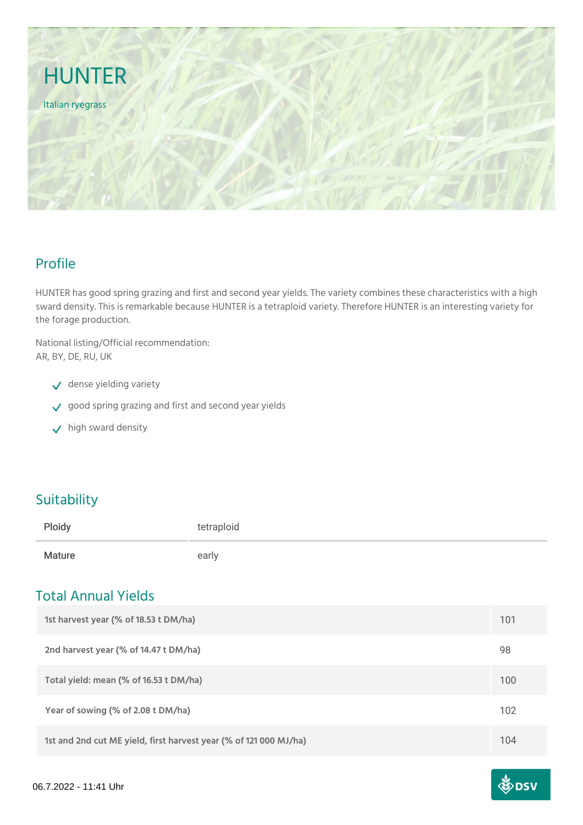

## Profile

HUNTER has good spring grazing and first and second year yields. The variety combines these characteristics with a high sward density. This is remarkable because HUNTER is a tetraploid variety. Therefore HUNTER is an interesting variety for the forage production.

National listing/Official recommendation: AR, BY, DE, RU, UK

- $\sqrt{\phantom{a}}$  dense yielding variety
- good spring grazing and first and second year yields
- $\checkmark$  high sward density

## **Suitability**

| Ploidy        | tetraploid |
|---------------|------------|
| <b>Mature</b> | early      |

### Total Annual Yields

| 1st harvest year (% of 18.53 t DM/ha)                             | 101 |
|-------------------------------------------------------------------|-----|
| 2nd harvest year (% of 14.47 t DM/ha)                             | 98  |
| Total yield: mean (% of 16.53 t DM/ha)                            | 100 |
| Year of sowing (% of 2.08 t DM/ha)                                | 102 |
| 1st and 2nd cut ME yield, first harvest year (% of 121 000 MJ/ha) | 104 |